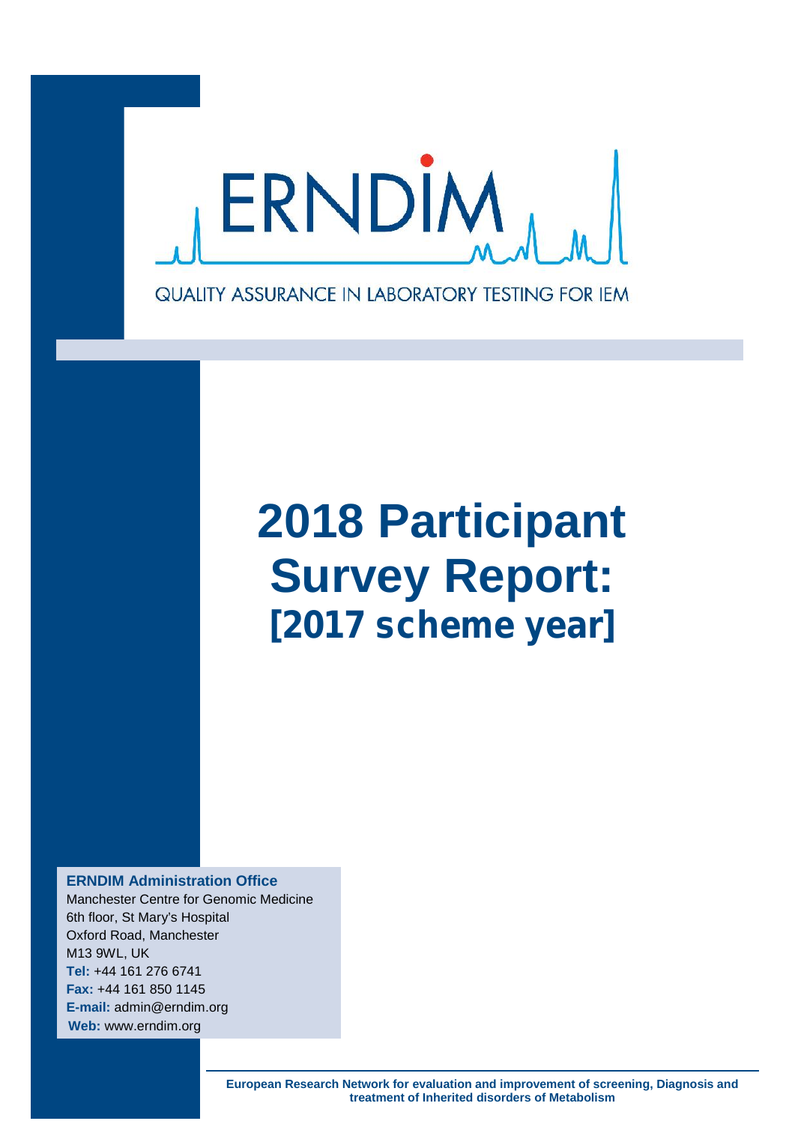

# **2018 Participant Survey Report:** *[2017 scheme year]*

**ERNDIM Administration Office**

Manchester Centre for Genomic Medicine 6th floor, St Mary's Hospital Oxford Road, Manchester M13 9WL, UK **Tel:** +44 161 276 6741 **Fax:** +44 161 850 1145 **E-mail:** admin@erndim.org **Web:** www.erndim.org

> **European Research Network for evaluation and improvement of screening, Diagnosis and treatment of Inherited disorders of Metabolism**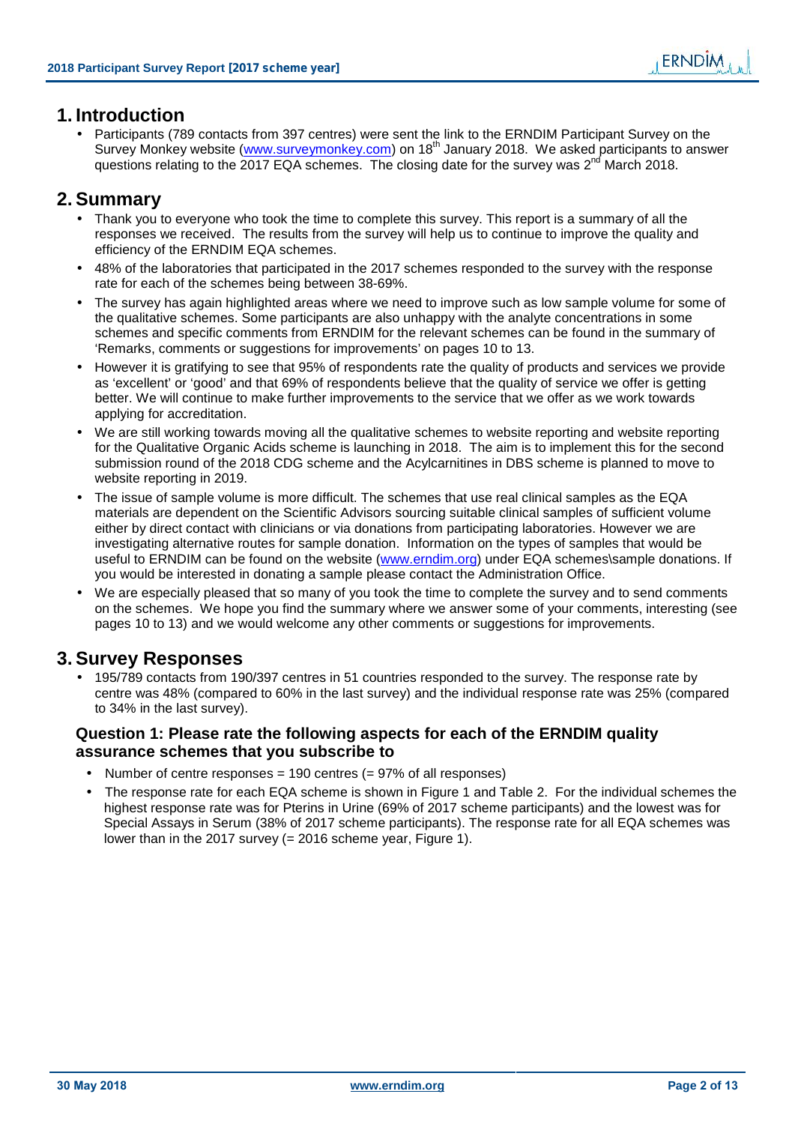# **1. Introduction**

 Participants (789 contacts from 397 centres) were sent the link to the ERNDIM Participant Survey on the Survey Monkey website (www.surveymonkey.com) on 18<sup>th</sup> January 2018. We asked participants to answer questions relating to the 2017 EQA schemes. The closing date for the survey was  $2^{nd}$  March 2018.

# **2. Summary**

- Thank you to everyone who took the time to complete this survey. This report is a summary of all the responses we received. The results from the survey will help us to continue to improve the quality and efficiency of the ERNDIM EQA schemes.
- 48% of the laboratories that participated in the 2017 schemes responded to the survey with the response rate for each of the schemes being between 38-69%.
- The survey has again highlighted areas where we need to improve such as low sample volume for some of the qualitative schemes. Some participants are also unhappy with the analyte concentrations in some schemes and specific comments from ERNDIM for the relevant schemes can be found in the summary of 'Remarks, comments or suggestions for improvements' on pages 10 to 13.
- However it is gratifying to see that 95% of respondents rate the quality of products and services we provide as 'excellent' or 'good' and that 69% of respondents believe that the quality of service we offer is getting better. We will continue to make further improvements to the service that we offer as we work towards applying for accreditation.
- We are still working towards moving all the qualitative schemes to website reporting and website reporting for the Qualitative Organic Acids scheme is launching in 2018. The aim is to implement this for the second submission round of the 2018 CDG scheme and the Acylcarnitines in DBS scheme is planned to move to website reporting in 2019.
- The issue of sample volume is more difficult. The schemes that use real clinical samples as the EQA materials are dependent on the Scientific Advisors sourcing suitable clinical samples of sufficient volume either by direct contact with clinicians or via donations from participating laboratories. However we are investigating alternative routes for sample donation. Information on the types of samples that would be useful to ERNDIM can be found on the website (www.erndim.org) under EQA schemes\sample donations. If you would be interested in donating a sample please contact the Administration Office.
- We are especially pleased that so many of you took the time to complete the survey and to send comments on the schemes. We hope you find the summary where we answer some of your comments, interesting (see pages 10 to 13) and we would welcome any other comments or suggestions for improvements.

# **3. Survey Responses**

 195/789 contacts from 190/397 centres in 51 countries responded to the survey. The response rate by centre was 48% (compared to 60% in the last survey) and the individual response rate was 25% (compared to 34% in the last survey).

# **Question 1: Please rate the following aspects for each of the ERNDIM quality assurance schemes that you subscribe to**

- Number of centre responses = 190 centres  $(= 97\%$  of all responses)
- The response rate for each EQA scheme is shown in Figure 1 and Table 2. For the individual schemes the highest response rate was for Pterins in Urine (69% of 2017 scheme participants) and the lowest was for Special Assays in Serum (38% of 2017 scheme participants). The response rate for all EQA schemes was lower than in the 2017 survey (= 2016 scheme year, Figure 1).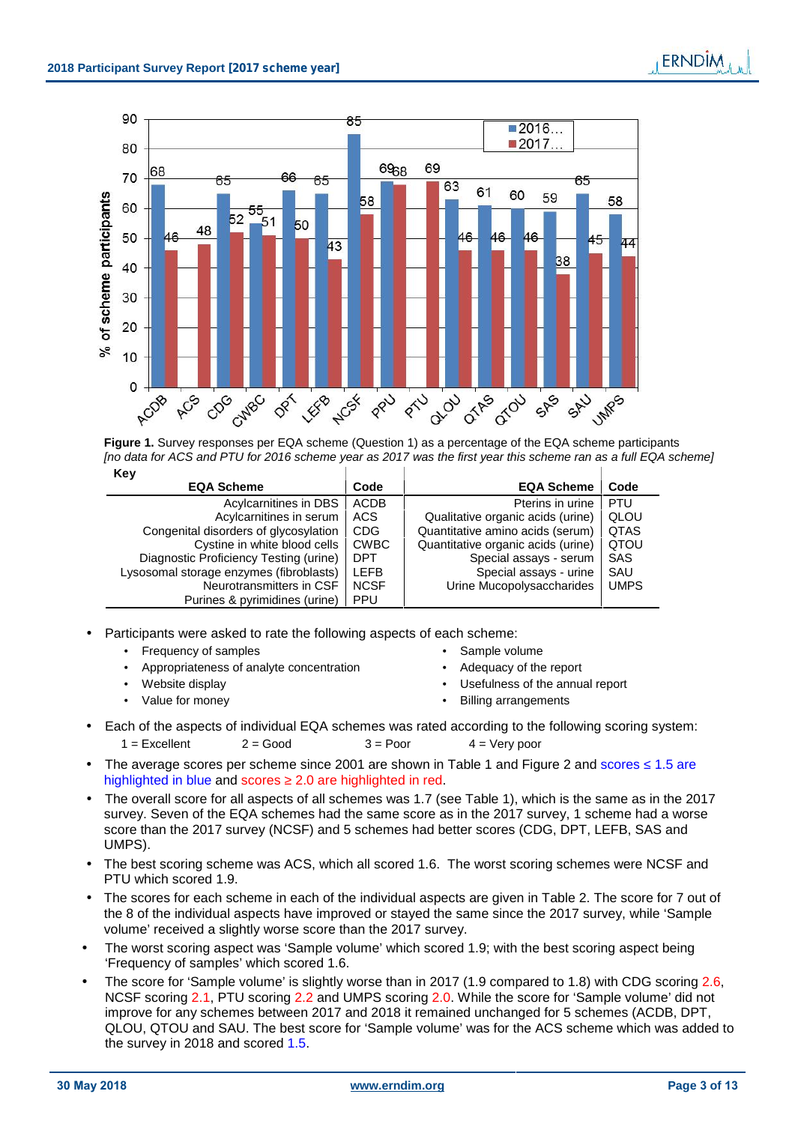

**Figure 1.** Survey responses per EQA scheme (Question 1) as a percentage of the EQA scheme participants *[no data for ACS and PTU for 2016 scheme year as 2017 was the first year this scheme ran as a full EQA scheme]* **Key**

| $\cdots$                                |             |                                    |             |
|-----------------------------------------|-------------|------------------------------------|-------------|
| <b>EQA Scheme</b>                       | Code        | <b>EQA Scheme</b>                  | Code        |
| Acylcarnitines in DBS                   | ACDB        | Pterins in urine                   | <b>PTU</b>  |
| Acylcarnitines in serum                 | ACS         | Qualitative organic acids (urine)  | QLOU        |
| Congenital disorders of glycosylation   | <b>CDG</b>  | Quantitative amino acids (serum)   | <b>QTAS</b> |
| Cystine in white blood cells            | <b>CWBC</b> | Quantitative organic acids (urine) | QTOU        |
| Diagnostic Proficiency Testing (urine)  | <b>DPT</b>  | Special assays - serum             | SAS         |
| Lysosomal storage enzymes (fibroblasts) | <b>LEFB</b> | Special assays - urine             | SAU         |
| Neurotransmitters in CSF                | <b>NCSF</b> | Urine Mucopolysaccharides          | <b>UMPS</b> |
| Purines & pyrimidines (urine)           | <b>PPU</b>  |                                    |             |

- Participants were asked to rate the following aspects of each scheme:
	- Frequency of samples **Sample volume Sample volume Sample volume** 
		- Appropriateness of analyte concentration  $\bullet$  Adequacy of the report
	-
	-
- 
- 
- Website display **Website display CONFINGLE 2008**
- Value for money and the state of the Billing arrangements
- Each of the aspects of individual EQA schemes was rated according to the following scoring system:  $1 =$  Excellent  $2 =$  Good  $3 =$  Poor  $4 =$  Very poor
- The average scores per scheme since 2001 are shown in Table 1 and Figure 2 and scores 1.5 are highlighted in blue and scores 2.0 are highlighted in red.
- The overall score for all aspects of all schemes was 1.7 (see Table 1), which is the same as in the 2017 survey. Seven of the EQA schemes had the same score as in the 2017 survey, 1 scheme had a worse score than the 2017 survey (NCSF) and 5 schemes had better scores (CDG, DPT, LEFB, SAS and UMPS).
- The best scoring scheme was ACS, which all scored 1.6. The worst scoring schemes were NCSF and PTU which scored 1.9.
- The scores for each scheme in each of the individual aspects are given in Table 2. The score for 7 out of the 8 of the individual aspects have improved or stayed the same since the 2017 survey, while 'Sample volume' received a slightly worse score than the 2017 survey.
- The worst scoring aspect was 'Sample volume' which scored 1.9; with the best scoring aspect being 'Frequency of samples' which scored 1.6.
- The score for 'Sample volume' is slightly worse than in 2017 (1.9 compared to 1.8) with CDG scoring 2.6, NCSF scoring 2.1, PTU scoring 2.2 and UMPS scoring 2.0. While the score for 'Sample volume' did not improve for any schemes between 2017 and 2018 it remained unchanged for 5 schemes (ACDB, DPT, QLOU, QTOU and SAU. The best score for 'Sample volume' was for the ACS scheme which was added to the survey in 2018 and scored 1.5.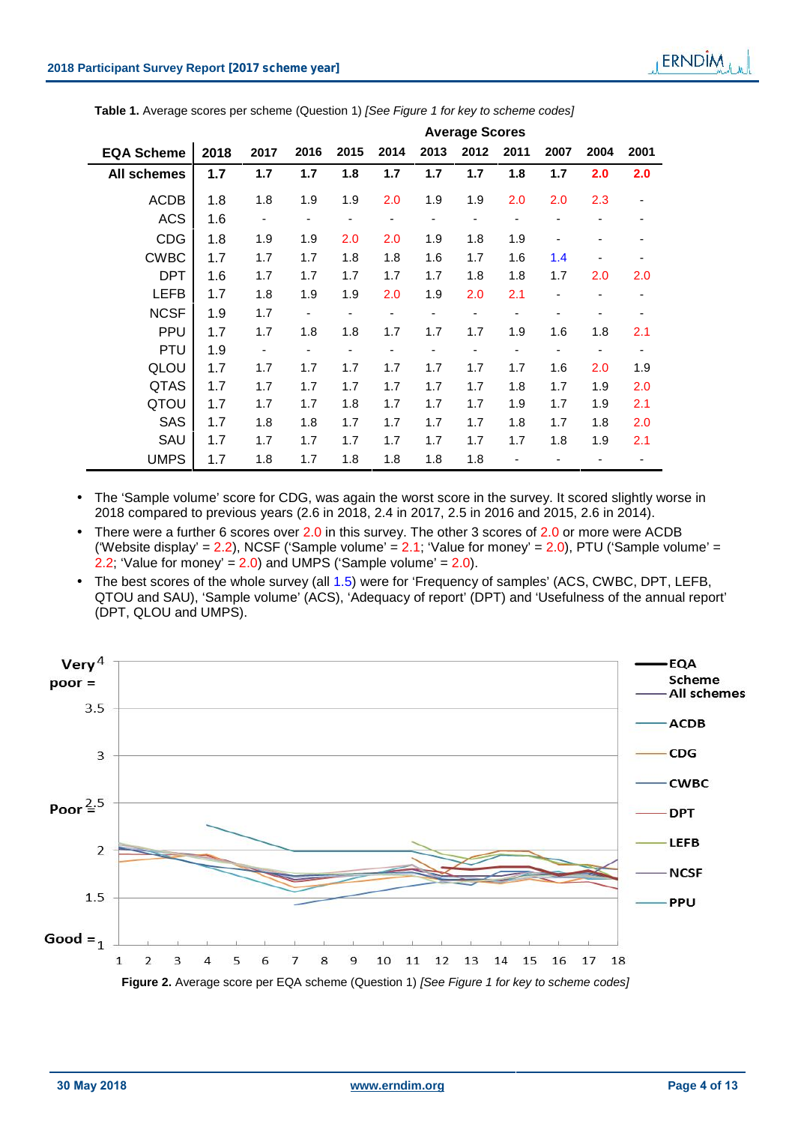|                    | <b>Average Scores</b> |                |      |      |      |      |      |      |      |      |      |
|--------------------|-----------------------|----------------|------|------|------|------|------|------|------|------|------|
| <b>EQA Scheme</b>  | 2018                  | 2017           | 2016 | 2015 | 2014 | 2013 | 2012 | 2011 | 2007 | 2004 | 2001 |
| <b>All schemes</b> | 1.7                   | 1.7            | 1.7  | 1.8  | 1.7  | 1.7  | 1.7  | 1.8  | 1.7  | 2.0  | 2.0  |
| <b>ACDB</b>        | 1.8                   | 1.8            | 1.9  | 1.9  | 2.0  | 1.9  | 1.9  | 2.0  | 2.0  | 2.3  | ۰    |
| <b>ACS</b>         | 1.6                   | $\blacksquare$ | ۰    | ۰    |      | -    |      | ٠    |      |      |      |
| <b>CDG</b>         | 1.8                   | 1.9            | 1.9  | 2.0  | 2.0  | 1.9  | 1.8  | 1.9  |      |      |      |
| <b>CWBC</b>        | 1.7                   | 1.7            | 1.7  | 1.8  | 1.8  | 1.6  | 1.7  | 1.6  | 1.4  |      |      |
| <b>DPT</b>         | 1.6                   | 1.7            | 1.7  | 1.7  | 1.7  | 1.7  | 1.8  | 1.8  | 1.7  | 2.0  | 2.0  |
| <b>LEFB</b>        | 1.7                   | 1.8            | 1.9  | 1.9  | 2.0  | 1.9  | 2.0  | 2.1  | -    |      |      |
| <b>NCSF</b>        | 1.9                   | 1.7            | -    | ۰    |      | ٠    |      | ٠    |      |      |      |
| <b>PPU</b>         | 1.7                   | 1.7            | 1.8  | 1.8  | 1.7  | 1.7  | 1.7  | 1.9  | 1.6  | 1.8  | 2.1  |
| <b>PTU</b>         | 1.9                   | $\blacksquare$ | -    |      |      | ۰    |      | ۰    | ٠    | ٠    | -    |
| QLOU               | 1.7                   | 1.7            | 1.7  | 1.7  | 1.7  | 1.7  | 1.7  | 1.7  | 1.6  | 2.0  | 1.9  |
| <b>QTAS</b>        | 1.7                   | 1.7            | 1.7  | 1.7  | 1.7  | 1.7  | 1.7  | 1.8  | 1.7  | 1.9  | 2.0  |
| QTOU               | 1.7                   | 1.7            | 1.7  | 1.8  | 1.7  | 1.7  | 1.7  | 1.9  | 1.7  | 1.9  | 2.1  |
| <b>SAS</b>         | 1.7                   | 1.8            | 1.8  | 1.7  | 1.7  | 1.7  | 1.7  | 1.8  | 1.7  | 1.8  | 2.0  |
| SAU                | 1.7                   | 1.7            | 1.7  | 1.7  | 1.7  | 1.7  | 1.7  | 1.7  | 1.8  | 1.9  | 2.1  |
| <b>UMPS</b>        | 1.7                   | 1.8            | 1.7  | 1.8  | 1.8  | 1.8  | 1.8  |      |      |      |      |

**Table 1.** Average scores per scheme (Question 1) *[See Figure 1 for key to scheme codes]*

- The 'Sample volume' score for CDG, was again the worst score in the survey. It scored slightly worse in 2018 compared to previous years (2.6 in 2018, 2.4 in 2017, 2.5 in 2016 and 2015, 2.6 in 2014).
- There were a further 6 scores over 2.0 in this survey. The other 3 scores of 2.0 or more were ACDB ('Website display' =  $2.2$ ), NCSF ('Sample volume' =  $2.1$ ; 'Value for money' =  $2.0$ ), PTU ('Sample volume' = 2.2; 'Value for money' =  $2.0$ ) and UMPS ('Sample volume' =  $2.0$ ).
- The best scores of the whole survey (all 1.5) were for 'Frequency of samples' (ACS, CWBC, DPT, LEFB, QTOU and SAU), 'Sample volume' (ACS), 'Adequacy of report' (DPT) and 'Usefulness of the annual report' (DPT, QLOU and UMPS).

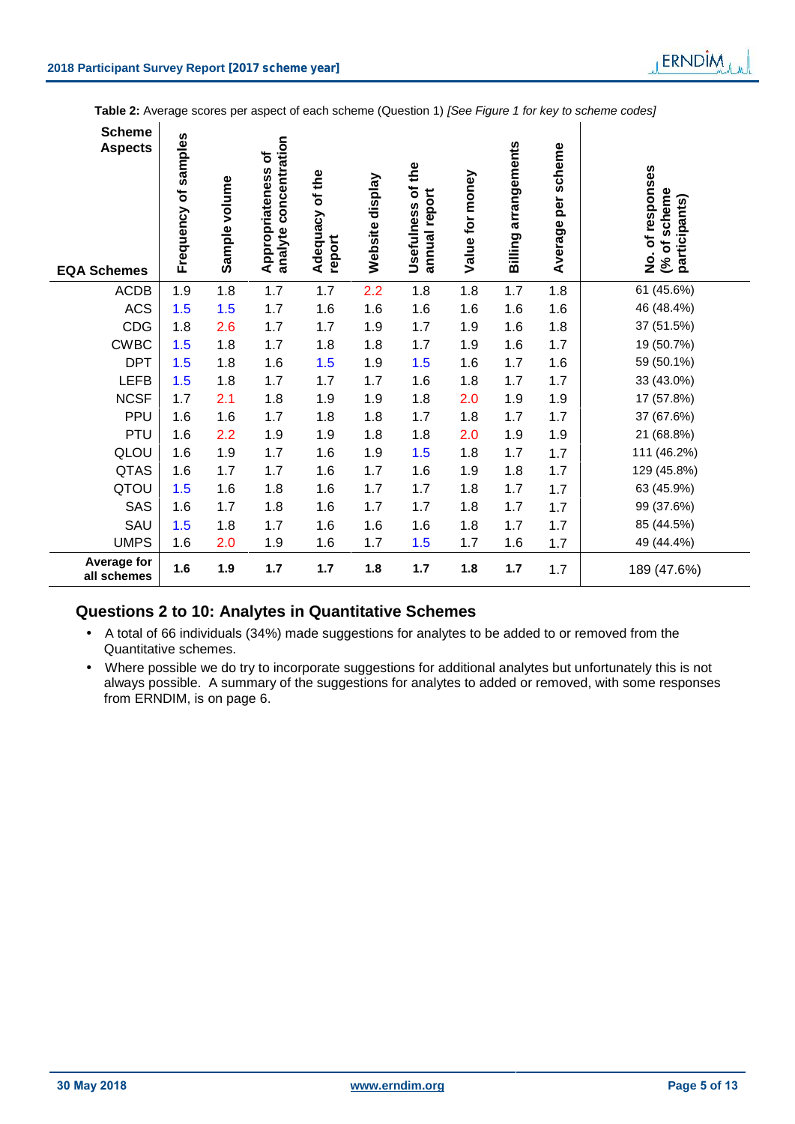| <b>Scheme</b><br><b>Aspects</b><br><b>EQA Schemes</b> | Frequency of samples | Sample volume | concentration<br>Appropriateness of<br>analyte | Adequacy of the<br>report | Website display | the<br>۲ō<br>annual report<br><b>Usefulness</b> | Value for money | arrangements<br>Billing | Average per scheme | No. of responses<br>(% of scheme<br>participants) |
|-------------------------------------------------------|----------------------|---------------|------------------------------------------------|---------------------------|-----------------|-------------------------------------------------|-----------------|-------------------------|--------------------|---------------------------------------------------|
| <b>ACDB</b>                                           | 1.9                  | 1.8           | 1.7                                            | 1.7                       | 2.2             | 1.8                                             | 1.8             | 1.7                     | 1.8                | 61 (45.6%)                                        |
| <b>ACS</b>                                            | 1.5                  | 1.5           | 1.7                                            | 1.6                       | 1.6             | 1.6                                             | 1.6             | 1.6                     | 1.6                | 46 (48.4%)                                        |
| CDG                                                   | 1.8                  | 2.6           | 1.7                                            | 1.7                       | 1.9             | 1.7                                             | 1.9             | 1.6                     | 1.8                | 37 (51.5%)                                        |
| <b>CWBC</b>                                           | 1.5                  | 1.8           | 1.7                                            | 1.8                       | 1.8             | 1.7                                             | 1.9             | 1.6                     | 1.7                | 19 (50.7%)                                        |
| <b>DPT</b>                                            | 1.5                  | 1.8           | 1.6                                            | 1.5                       | 1.9             | 1.5                                             | 1.6             | 1.7                     | 1.6                | 59 (50.1%)                                        |
| <b>LEFB</b>                                           | 1.5                  | 1.8           | 1.7                                            | 1.7                       | 1.7             | 1.6                                             | 1.8             | 1.7                     | 1.7                | 33 (43.0%)                                        |
| <b>NCSF</b>                                           | 1.7                  | 2.1           | 1.8                                            | 1.9                       | 1.9             | 1.8                                             | 2.0             | 1.9                     | 1.9                | 17 (57.8%)                                        |
| PPU                                                   | 1.6                  | 1.6           | 1.7                                            | 1.8                       | 1.8             | 1.7                                             | 1.8             | 1.7                     | 1.7                | 37 (67.6%)                                        |
| <b>PTU</b>                                            | 1.6                  | 2.2           | 1.9                                            | 1.9                       | 1.8             | 1.8                                             | 2.0             | 1.9                     | 1.9                | 21 (68.8%)                                        |
| QLOU                                                  | 1.6                  | 1.9           | 1.7                                            | 1.6                       | 1.9             | 1.5                                             | 1.8             | 1.7                     | 1.7                | 111 (46.2%)                                       |
| <b>QTAS</b>                                           | 1.6                  | 1.7           | 1.7                                            | 1.6                       | 1.7             | 1.6                                             | 1.9             | 1.8                     | 1.7                | 129 (45.8%)                                       |
| QTOU                                                  | 1.5                  | 1.6           | 1.8                                            | 1.6                       | 1.7             | 1.7                                             | 1.8             | 1.7                     | 1.7                | 63 (45.9%)                                        |
| SAS                                                   | 1.6                  | 1.7           | 1.8                                            | 1.6                       | 1.7             | 1.7                                             | 1.8             | 1.7                     | 1.7                | 99 (37.6%)                                        |
| SAU                                                   | 1.5                  | 1.8           | 1.7                                            | 1.6                       | 1.6             | 1.6                                             | 1.8             | 1.7                     | 1.7                | 85 (44.5%)                                        |
| <b>UMPS</b>                                           | 1.6                  | 2.0           | 1.9                                            | 1.6                       | 1.7             | 1.5                                             | 1.7             | 1.6                     | 1.7                | 49 (44.4%)                                        |
| Average for<br>all schemes                            | 1.6                  | 1.9           | 1.7                                            | 1.7                       | 1.8             | 1.7                                             | 1.8             | 1.7                     | 1.7                | 189 (47.6%)                                       |

# **Questions 2 to 10: Analytes in Quantitative Schemes**

- A total of 66 individuals (34%) made suggestions for analytes to be added to or removed from the Quantitative schemes.
- Where possible we do try to incorporate suggestions for additional analytes but unfortunately this is not always possible. A summary of the suggestions for analytes to added or removed, with some responses from ERNDIM, is on page 6.

LERNDIM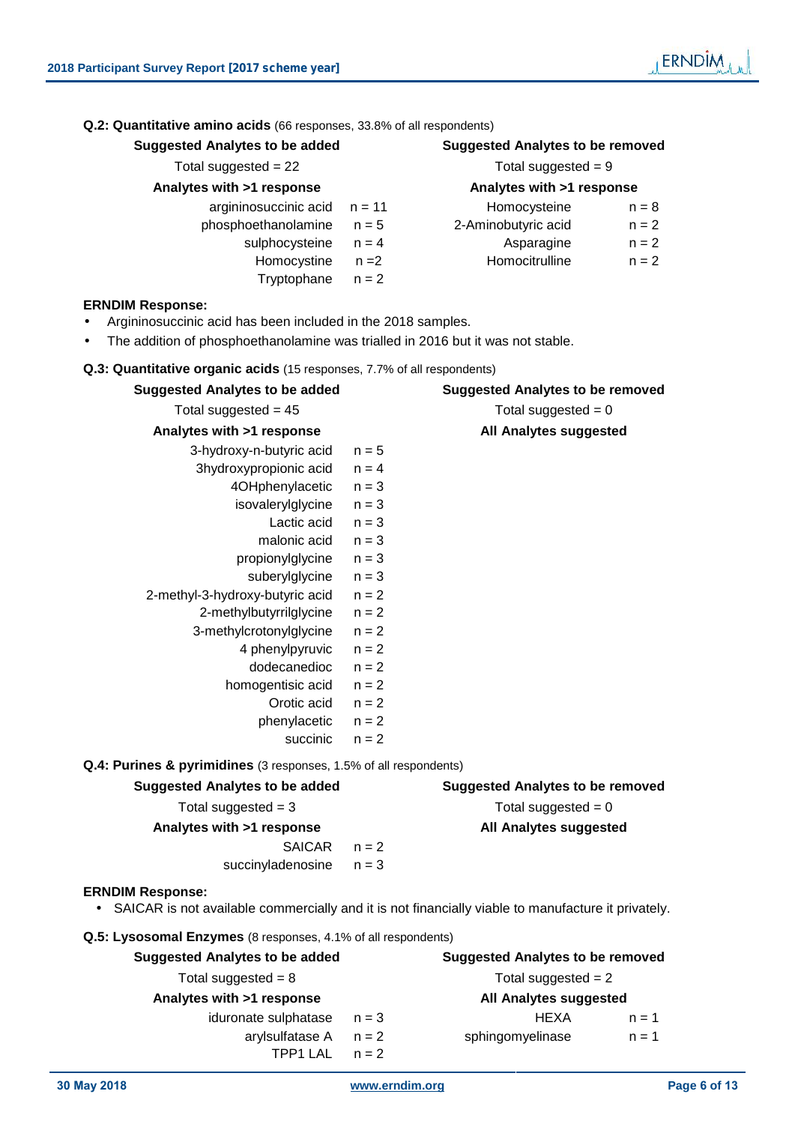| <b>Suggested Analytes to be added</b>                                                                                         |          | <b>Suggested Analytes to be removed</b> |         |  |
|-------------------------------------------------------------------------------------------------------------------------------|----------|-----------------------------------------|---------|--|
| Total suggested = $22$                                                                                                        |          | Total suggested $= 9$                   |         |  |
| Analytes with >1 response                                                                                                     |          | Analytes with >1 response               |         |  |
| argininosuccinic acid                                                                                                         | $n = 11$ | Homocysteine                            | $n = 8$ |  |
| phosphoethanolamine                                                                                                           | $n = 5$  | 2-Aminobutyric acid                     | $n = 2$ |  |
| sulphocysteine                                                                                                                | $n = 4$  | Asparagine                              | $n = 2$ |  |
| Homocystine                                                                                                                   | $n = 2$  | Homocitrulline                          | $n = 2$ |  |
| Tryptophane                                                                                                                   | $n = 2$  |                                         |         |  |
| <b>ERNDIM Response:</b>                                                                                                       |          |                                         |         |  |
| Argininosuccinic acid has been included in the 2018 samples.                                                                  |          |                                         |         |  |
| The addition of phosphoethanolamine was trialled in 2016 but it was not stable.                                               |          |                                         |         |  |
| Q.3: Quantitative organic acids (15 responses, 7.7% of all respondents)                                                       |          |                                         |         |  |
| <b>Suggested Analytes to be added</b>                                                                                         |          | <b>Suggested Analytes to be removed</b> |         |  |
| Total suggested = $45$                                                                                                        |          | Total suggested $= 0$                   |         |  |
| Analytes with >1 response                                                                                                     |          | <b>All Analytes suggested</b>           |         |  |
| 3-hydroxy-n-butyric acid                                                                                                      | $n = 5$  |                                         |         |  |
| 3hydroxypropionic acid                                                                                                        | $n = 4$  |                                         |         |  |
| 4OHphenylacetic                                                                                                               | $n = 3$  |                                         |         |  |
| isovalerylglycine                                                                                                             | $n = 3$  |                                         |         |  |
| Lactic acid                                                                                                                   | $n = 3$  |                                         |         |  |
| malonic acid                                                                                                                  | $n = 3$  |                                         |         |  |
| propionylglycine                                                                                                              | $n = 3$  |                                         |         |  |
| suberylglycine                                                                                                                | $n = 3$  |                                         |         |  |
| 2-methyl-3-hydroxy-butyric acid                                                                                               | $n = 2$  |                                         |         |  |
| 2-methylbutyrrilglycine                                                                                                       | $n = 2$  |                                         |         |  |
| 3-methylcrotonylglycine                                                                                                       | $n = 2$  |                                         |         |  |
| 4 phenylpyruvic                                                                                                               | $n = 2$  |                                         |         |  |
| dodecanedioc                                                                                                                  | $n = 2$  |                                         |         |  |
| homogentisic acid                                                                                                             | $n = 2$  |                                         |         |  |
| Orotic acid                                                                                                                   | $n = 2$  |                                         |         |  |
| phenylacetic                                                                                                                  | $n = 2$  |                                         |         |  |
| succinic                                                                                                                      | $n = 2$  |                                         |         |  |
| Q.4: Purines & pyrimidines (3 responses, 1.5% of all respondents)                                                             |          |                                         |         |  |
| <b>Suggested Analytes to be added</b>                                                                                         |          | <b>Suggested Analytes to be removed</b> |         |  |
| Total suggested $=$ 3                                                                                                         |          | Total suggested $= 0$                   |         |  |
| Analytes with >1 response                                                                                                     |          | <b>All Analytes suggested</b>           |         |  |
| <b>SAICAR</b>                                                                                                                 | $n = 2$  |                                         |         |  |
| succinyladenosine                                                                                                             | $n = 3$  |                                         |         |  |
| <b>ERNDIM Response:</b><br>SAICAR is not available commercially and it is not financially viable to manufacture it privately. |          |                                         |         |  |
| Q.5: Lysosomal Enzymes (8 responses, 4.1% of all respondents)                                                                 |          |                                         |         |  |
| <b>Suggested Analytes to be added</b>                                                                                         |          | <b>Suggested Analytes to be removed</b> |         |  |
| Total suggested = $8$                                                                                                         |          | Total suggested $= 2$                   |         |  |
| Analytes with >1 response                                                                                                     |          | <b>All Analytes suggested</b>           |         |  |

**30 May 2018 www.erndim.org Page 6 of 13**

TPP1 LAL  $n = 2$ 

iduronate sulphatase  $n = 3$  HEXA  $n = 1$ arylsulfatase  $A$   $n = 2$  sphingomyelinase  $n = 1$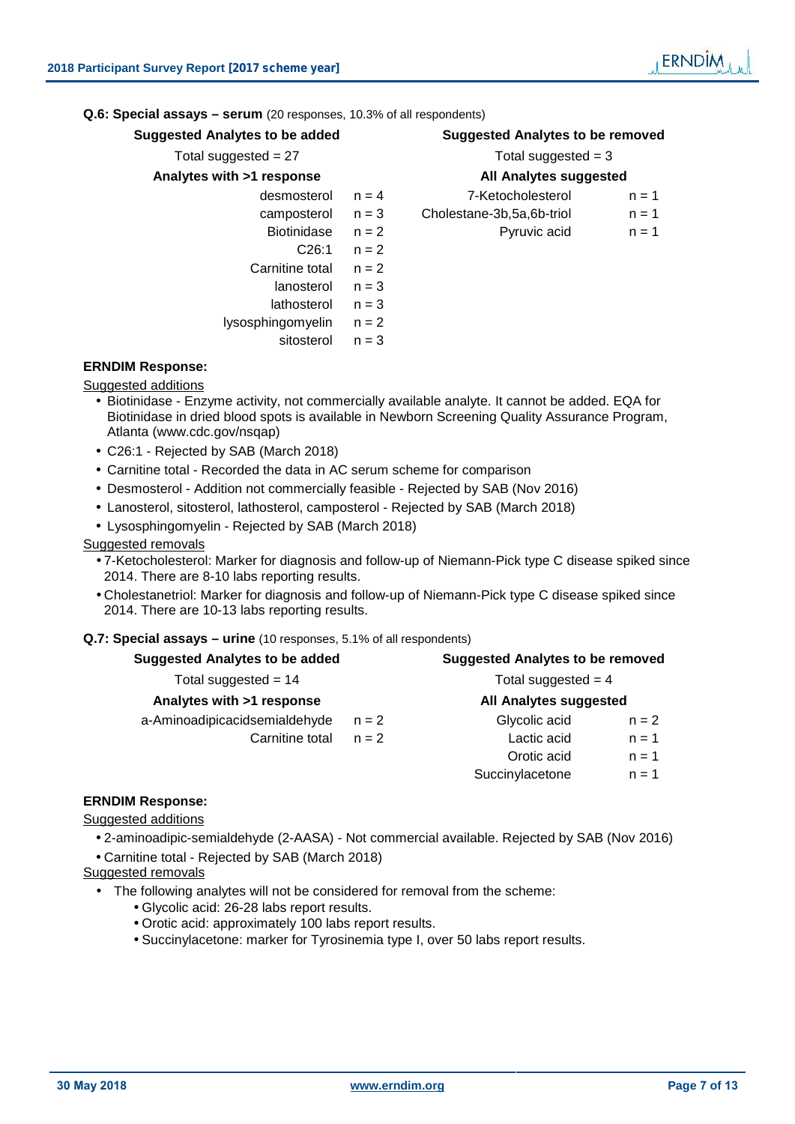**Q.6: Special assays – serum** (20 responses, 10.3% of all respondents)

| <b>Suggested Analytes to be added</b> |         | <b>Suggested Analytes to be removed</b> |         |  |  |  |
|---------------------------------------|---------|-----------------------------------------|---------|--|--|--|
| Total suggested = $27$                |         | Total suggested $=$ 3                   |         |  |  |  |
| Analytes with >1 response             |         | <b>All Analytes suggested</b>           |         |  |  |  |
| desmosterol                           | $n = 4$ | 7-Ketocholesterol                       | $n = 1$ |  |  |  |
| camposterol                           | $n = 3$ | Cholestane-3b, 5a, 6b-triol             | $n = 1$ |  |  |  |
| <b>Biotinidase</b>                    | $n = 2$ | Pyruvic acid                            | $n = 1$ |  |  |  |
| C26:1                                 | $n = 2$ |                                         |         |  |  |  |
| Carnitine total                       | $n = 2$ |                                         |         |  |  |  |
| lanosterol                            | $n = 3$ |                                         |         |  |  |  |
| lathosterol                           | $n = 3$ |                                         |         |  |  |  |
| lysosphingomyelin                     | $n = 2$ |                                         |         |  |  |  |

sitosterol  $n = 3$ 

**ERNDIM Response:** Suggested additions

- Biotinidase Enzyme activity, not commercially available analyte. It cannot be added. EQA for Biotinidase in dried blood spots is available in Newborn Screening Quality Assurance Program, Atlanta (www.cdc.gov/nsqap)
- C26:1 Rejected by SAB (March 2018)
- Carnitine total Recorded the data in AC serum scheme for comparison
- Desmosterol Addition not commercially feasible Rejected by SAB (Nov 2016)
- Lanosterol, sitosterol, lathosterol, camposterol Rejected by SAB (March 2018)
- Lysosphingomyelin Rejected by SAB (March 2018)

#### Suggested removals

- 7-Ketocholesterol: Marker for diagnosis and follow-up of Niemann-Pick type C disease spiked since 2014. There are 8-10 labs reporting results.
- Cholestanetriol: Marker for diagnosis and follow-up of Niemann-Pick type C disease spiked since 2014. There are 10-13 labs reporting results.

#### **Q.7: Special assays – urine** (10 responses, 5.1% of all respondents)

| <b>Suggested Analytes to be added</b> |         | <b>Suggested Analytes to be removed</b> |         |  |  |  |
|---------------------------------------|---------|-----------------------------------------|---------|--|--|--|
| Total suggested = $14$                |         | Total suggested $=$ 4                   |         |  |  |  |
| Analytes with >1 response             |         | All Analytes suggested                  |         |  |  |  |
| a-Aminoadipicacidsemialdehyde         | $n = 2$ | Glycolic acid                           | $n = 2$ |  |  |  |
| Carnitine total                       | $n = 2$ | Lactic acid                             | $n = 1$ |  |  |  |
|                                       |         | Orotic acid                             | $n = 1$ |  |  |  |
|                                       |         | Succinylacetone                         | $n = 1$ |  |  |  |

#### **ERNDIM Response:**

Suggested additions

 2-aminoadipic-semialdehyde (2-AASA) - Not commercial available. Rejected by SAB (Nov 2016) Carnitine total - Rejected by SAB (March 2018)

Suggested removals

- The following analytes will not be considered for removal from the scheme:
	- Glycolic acid: 26-28 labs report results.
	- Orotic acid: approximately 100 labs report results.
	- Succinylacetone: marker for Tyrosinemia type I, over 50 labs report results.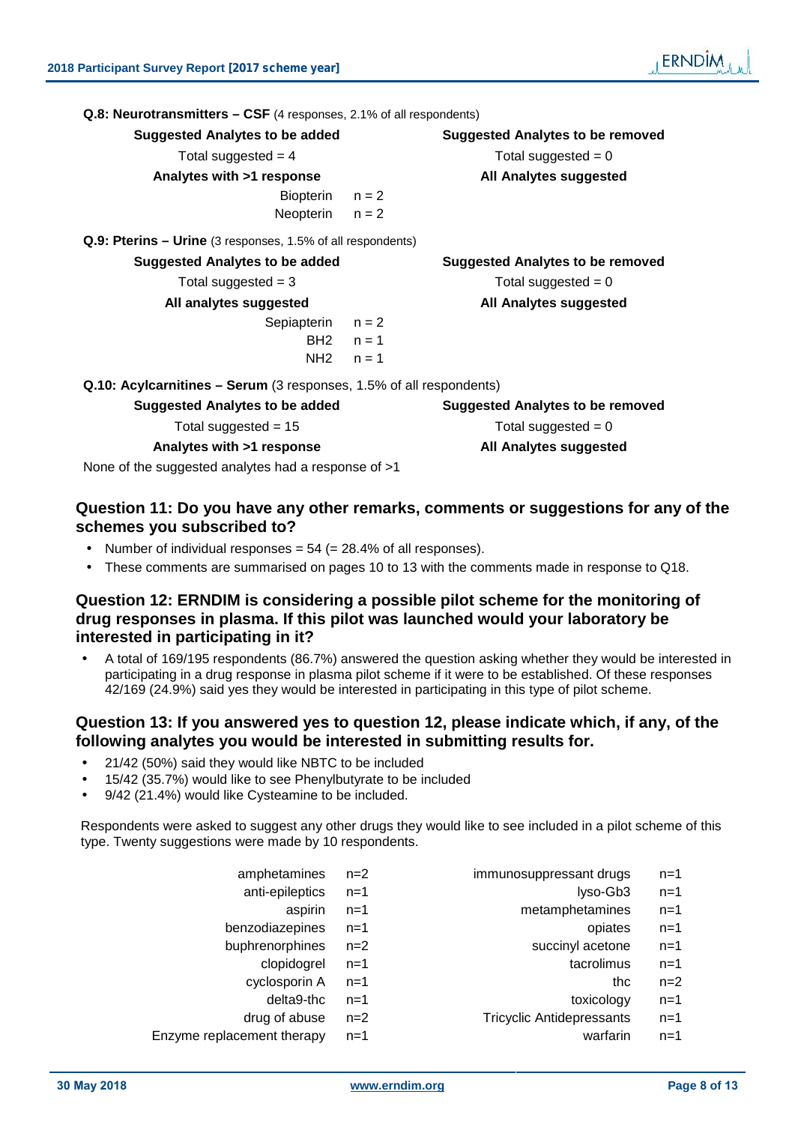| <b>Q.8: Neurotransmitters – CSF</b> (4 responses, 2.1% of all respondents) |         |                                         |
|----------------------------------------------------------------------------|---------|-----------------------------------------|
| <b>Suggested Analytes to be added</b>                                      |         | <b>Suggested Analytes to be removed</b> |
| Total suggested $=$ 4                                                      |         | Total suggested $= 0$                   |
| Analytes with >1 response                                                  |         | All Analytes suggested                  |
| Biopterin                                                                  | $n = 2$ |                                         |
| Neopterin                                                                  | $n = 2$ |                                         |
| Q.9: Pterins – Urine (3 responses, 1.5% of all respondents)                |         |                                         |
| <b>Suggested Analytes to be added</b>                                      |         | <b>Suggested Analytes to be removed</b> |
| Total suggested $=$ 3                                                      |         | Total suggested $= 0$                   |
| All analytes suggested                                                     |         | All Analytes suggested                  |
| Sepiapterin                                                                | $n = 2$ |                                         |
| BH2                                                                        | $n = 1$ |                                         |
| NH2                                                                        | $n = 1$ |                                         |
| Q.10: Acylcarnitines – Serum (3 responses, 1.5% of all respondents)        |         |                                         |
| <b>Suggested Analytes to be added</b>                                      |         | <b>Suggested Analytes to be removed</b> |
| Total suggested = $15$                                                     |         | Total suggested $= 0$                   |
| Analytes with >1 response                                                  |         | All Analytes suggested                  |

None of the suggested analytes had a response of >1

# **Question 11: Do you have any other remarks, comments or suggestions for any of the schemes you subscribed to?**

- Number of individual responses  $= 54$  ( $= 28.4\%$  of all responses).
- These comments are summarised on pages 10 to 13 with the comments made in response to Q18.

# **Question 12: ERNDIM is considering a possible pilot scheme for the monitoring of drug responses in plasma. If this pilot was launched would your laboratory be interested in participating in it?**

 A total of 169/195 respondents (86.7%) answered the question asking whether they would be interested in participating in a drug response in plasma pilot scheme if it were to be established. Of these responses 42/169 (24.9%) said yes they would be interested in participating in this type of pilot scheme.

# **Question 13: If you answered yes to question 12, please indicate which, if any, of the following analytes you would be interested in submitting results for.**

- 21/42 (50%) said they would like NBTC to be included
- 15/42 (35.7%) would like to see Phenylbutyrate to be included

amphetamines  $n=2$ 

9/42 (21.4%) would like Cysteamine to be included.

Respondents were asked to suggest any other drugs they would like to see included in a pilot scheme of this type. Twenty suggestions were made by 10 respondents.

| immunosuppressant drugs | $n=1$ |
|-------------------------|-------|
|                         |       |

- anti-epileptics n=1 lyso-Gb3 n=1
	- aspirin n=1 metamphetamines n=1
- benzodiazepines n=1 opiates n=1
- buphrenorphines n=2 succinyl acetone n=1
	- clopidogrel n=1 tacrolimus n=1
	- cyclosporin  $A$  n=1 thc n=2
		- delta9-thc n=1 toxicology n=1
	- drug of abuse n=2 Tricyclic Antidepressants n=1
- Enzyme replacement therapy n=1 warfarin n=1
- **30 May 2018 www.erndim.org Page 8 of 13**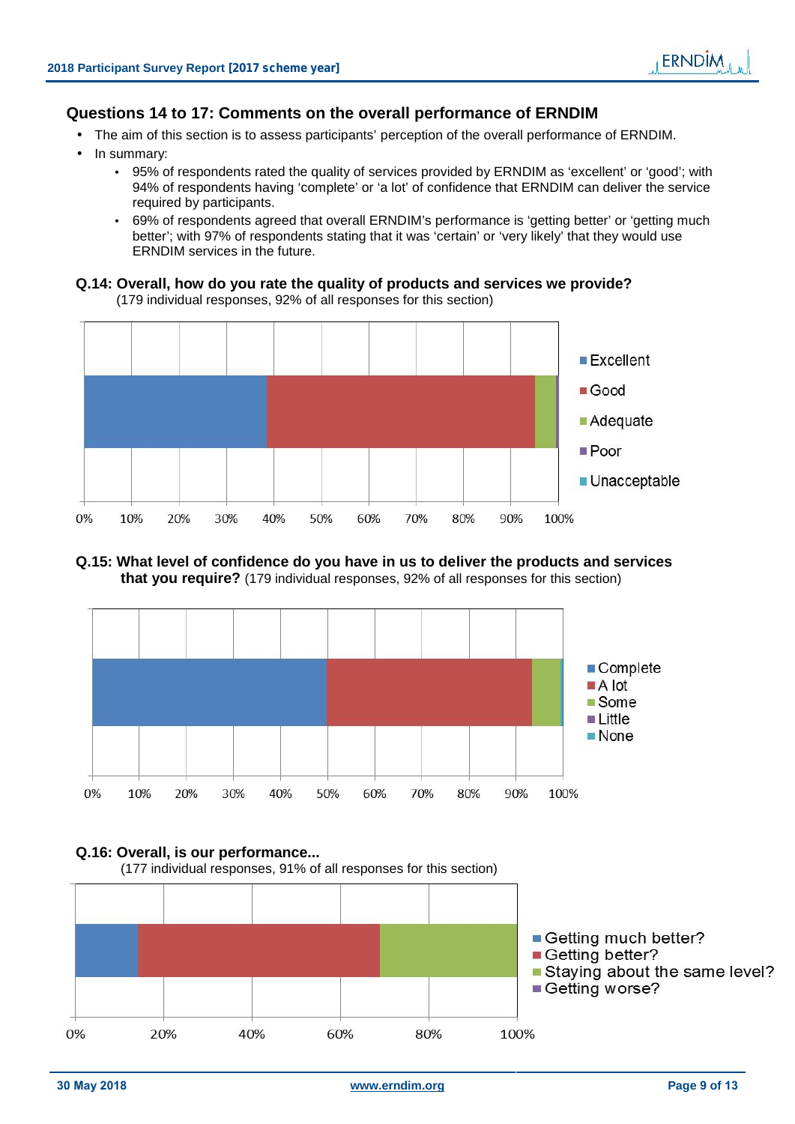# **Questions 14 to 17: Comments on the overall performance of ERNDIM**

- The aim of this section is to assess participants' perception of the overall performance of ERNDIM.
- In summary:
	- 95% of respondents rated the quality of services provided by ERNDIM as 'excellent' or 'good'; with 94% of respondents having 'complete' or 'a lot' of confidence that ERNDIM can deliver the service required by participants.
	- 69% of respondents agreed that overall ERNDIM's performance is 'getting better' or 'getting much better'; with 97% of respondents stating that it was 'certain' or 'very likely' that they would use ERNDIM services in the future.

### **Q.14: Overall, how do you rate the quality of products and services we provide?** (179 individual responses, 92% of all responses for this section)



# **Q.15: What level of confidence do you have in us to deliver the products and services that you require?** (179 individual responses, 92% of all responses for this section)



# **Q.16: Overall, is our performance...**

(177 individual responses, 91% of all responses for this section)

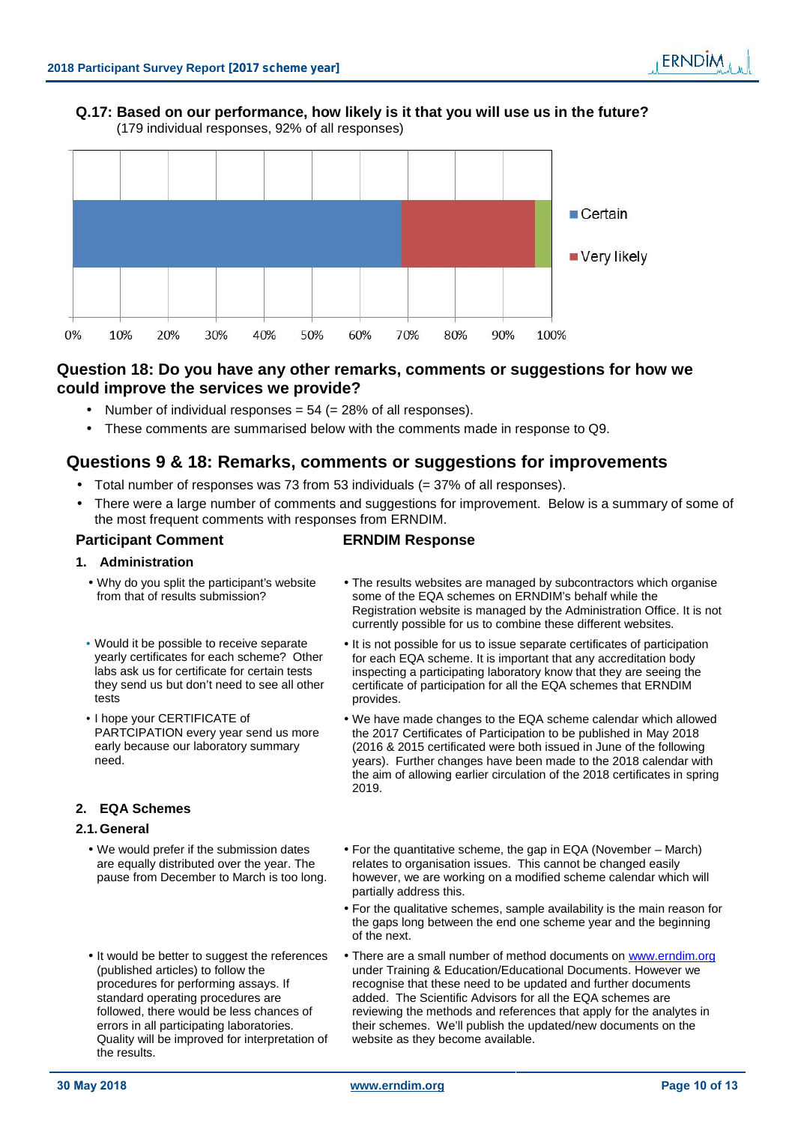### **Q.17: Based on our performance, how likely is it that you will use us in the future?** (179 individual responses, 92% of all responses)



# **Question 18: Do you have any other remarks, comments or suggestions for how we could improve the services we provide?**

- Number of individual responses  $= 54 (= 28\%)$  of all responses).
- These comments are summarised below with the comments made in response to Q9.

# **Questions 9 & 18: Remarks, comments or suggestions for improvements**

- Total number of responses was 73 from 53 individuals (= 37% of all responses).
- There were a large number of comments and suggestions for improvement. Below is a summary of some of the most frequent comments with responses from ERNDIM.

### **Participant Comment ERNDIM Response**

#### **1. Administration**

- Why do you split the participant's website from that of results submission?
- Would it be possible to receive separate yearly certificates for each scheme? Other labs ask us for certificate for certain tests they send us but don't need to see all other tests
- I hope your CERTIFICATE of PARTCIPATION every year send us more early because our laboratory summary need.

# **2. EQA Schemes**

#### **2.1.General**

- We would prefer if the submission dates are equally distributed over the year. The pause from December to March is too long.
- It would be better to suggest the references (published articles) to follow the procedures for performing assays. If standard operating procedures are followed, there would be less chances of errors in all participating laboratories. Quality will be improved for interpretation of the results.
- The results websites are managed by subcontractors which organise some of the EQA schemes on ERNDIM's behalf while the Registration website is managed by the Administration Office. It is not currently possible for us to combine these different websites.
- It is not possible for us to issue separate certificates of participation for each EQA scheme. It is important that any accreditation body inspecting a participating laboratory know that they are seeing the certificate of participation for all the EQA schemes that ERNDIM provides.
- We have made changes to the EQA scheme calendar which allowed the 2017 Certificates of Participation to be published in May 2018 (2016 & 2015 certificated were both issued in June of the following years). Further changes have been made to the 2018 calendar with the aim of allowing earlier circulation of the 2018 certificates in spring 2019.
- For the quantitative scheme, the gap in EQA (November March) relates to organisation issues. This cannot be changed easily however, we are working on a modified scheme calendar which will partially address this.
- For the qualitative schemes, sample availability is the main reason for the gaps long between the end one scheme year and the beginning of the next.
- There are a small number of method documents on www.erndim.org under Training & Education/Educational Documents. However we recognise that these need to be updated and further documents added. The Scientific Advisors for all the EQA schemes are reviewing the methods and references that apply for the analytes in their schemes. We'll publish the updated/new documents on the website as they become available.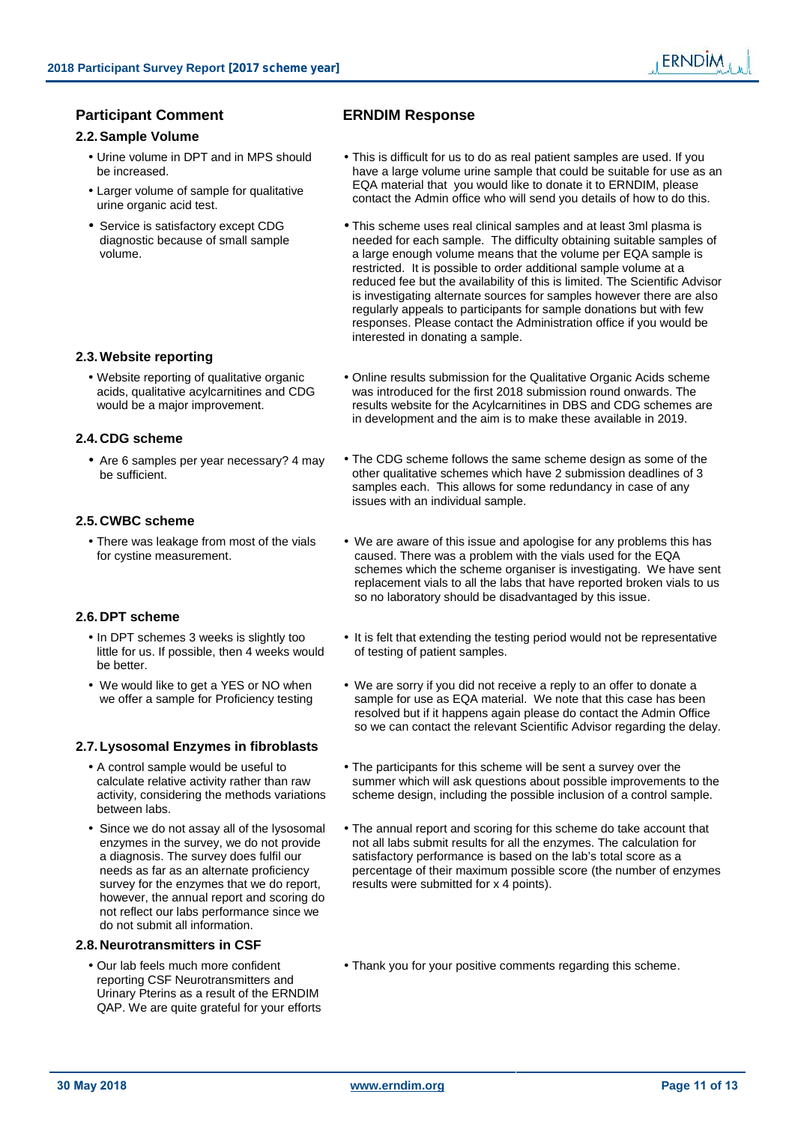### **Participant Comment ERNDIM Response**

#### **2.2.Sample Volume**

- 
- urine organic acid test.
- Service is satisfactory except CDG diagnostic because of small sample volume.

#### **2.3.Website reporting**

 Website reporting of qualitative organic acids, qualitative acylcarnitines and CDG would be a major improvement.

#### **2.4.CDG scheme**

#### **2.5.CWBC scheme**

• There was leakage from most of the vials<br>for cystine measurement.

#### **2.6.DPT scheme**

- In DPT schemes 3 weeks is slightly too little for us. If possible, then 4 weeks would be better.
- We would like to get a YES or NO when we offer a sample for Proficiency testing

#### **2.7.Lysosomal Enzymes in fibroblasts**

- A control sample would be useful to calculate relative activity rather than raw activity, considering the methods variations between labs.
- Since we do not assay all of the lysosomal enzymes in the survey, we do not provide a diagnosis. The survey does fulfil our needs as far as an alternate proficiency survey for the enzymes that we do report, however, the annual report and scoring do not reflect our labs performance since we do not submit all information.

#### **2.8.Neurotransmitters in CSF**

 Our lab feels much more confident reporting CSF Neurotransmitters and Urinary Pterins as a result of the ERNDIM QAP. We are quite grateful for your efforts

- Urine volume in DPT and in MPS should This is difficult for us to do as real patient samples are used. If you be increased. This is difficult for us to do as real patient samples are used. If you have a large volume urine sample that could be suitable for use as an EQA material that you would like to donate it to ERNDIM, please • Larger volume of sample for qualitative **LOCA material that you would like to donate it to ERNDIN**, please contact the Admin office who will send you details of how to do this.
	- This scheme uses real clinical samples and at least 3ml plasma is needed for each sample. The difficulty obtaining suitable samples of a large enough volume means that the volume per EQA sample is restricted. It is possible to order additional sample volume at a reduced fee but the availability of this is limited. The Scientific Advisor is investigating alternate sources for samples however there are also regularly appeals to participants for sample donations but with few responses. Please contact the Administration office if you would be interested in donating a sample.
	- Online results submission for the Qualitative Organic Acids scheme was introduced for the first 2018 submission round onwards. The results website for the Acylcarnitines in DBS and CDG schemes are in development and the aim is to make these available in 2019.
- Are 6 samples per year necessary? 4 may The CDG scheme follows the same scheme design as some of the be sufficient. The CDG scheme follows the same scheme design as some of the other qualitative schemes which have 2 submission deadlines of 3 samples each. This allows for some redundancy in case of any issues with an individual sample.
	- We are aware of this issue and apologise for any problems this has caused. There was a problem with the vials used for the EQA schemes which the scheme organiser is investigating. We have sent replacement vials to all the labs that have reported broken vials to us so no laboratory should be disadvantaged by this issue.
	- It is felt that extending the testing period would not be representative of testing of patient samples.
	- We are sorry if you did not receive a reply to an offer to donate a sample for use as EQA material. We note that this case has been resolved but if it happens again please do contact the Admin Office so we can contact the relevant Scientific Advisor regarding the delay.
	- The participants for this scheme will be sent a survey over the summer which will ask questions about possible improvements to the scheme design, including the possible inclusion of a control sample.
	- The annual report and scoring for this scheme do take account that not all labs submit results for all the enzymes. The calculation for satisfactory performance is based on the lab's total score as a percentage of their maximum possible score (the number of enzymes results were submitted for x 4 points).
	- Thank you for your positive comments regarding this scheme.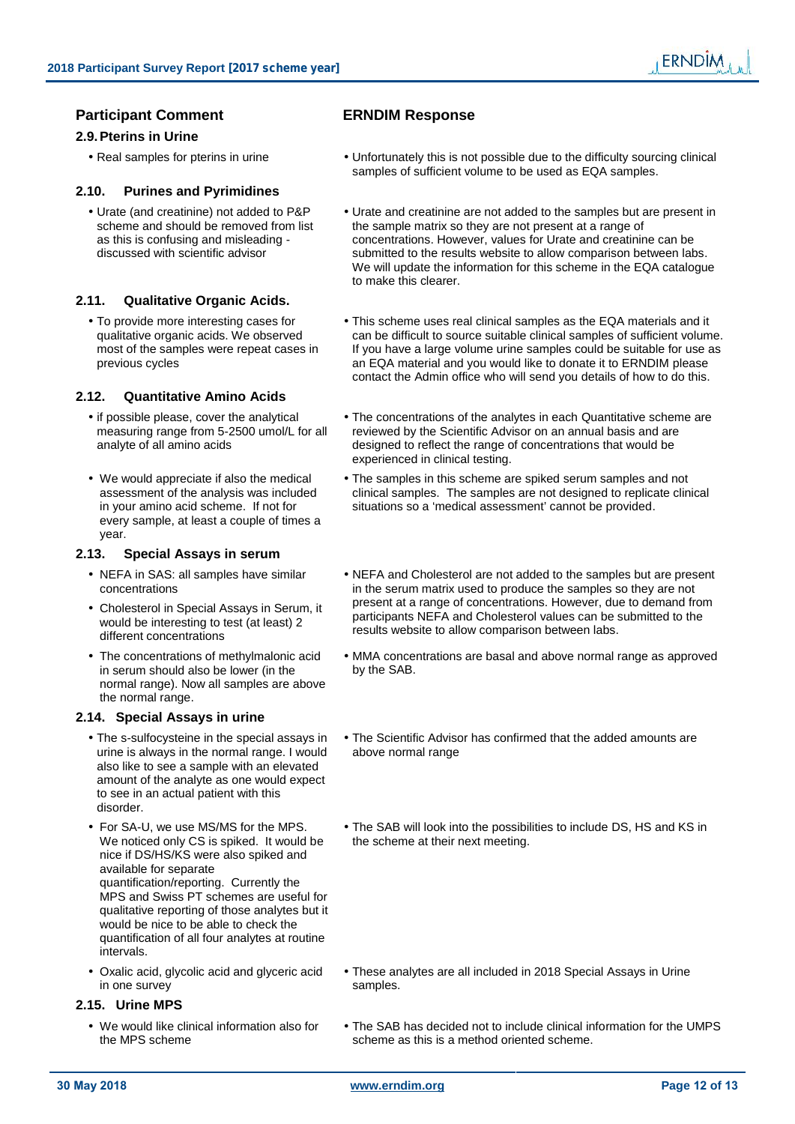# **Participant Comment ERNDIM Response**

#### **2.9.Pterins in Urine**

### **2.10. Purines and Pyrimidines**

 Urate (and creatinine) not added to P&P scheme and should be removed from list as this is confusing and misleading discussed with scientific advisor

#### **2.11. Qualitative Organic Acids.**

 To provide more interesting cases for qualitative organic acids. We observed most of the samples were repeat cases in previous cycles

#### **2.12. Quantitative Amino Acids**

- if possible please, cover the analytical measuring range from 5-2500 umol/L for all analyte of all amino acids
- We would appreciate if also the medical assessment of the analysis was included in your amino acid scheme. If not for every sample, at least a couple of times a year.

#### **2.13. Special Assays in serum**

- NEFA in SAS: all samples have similar concentrations
- would be interesting to test (at least) 2 different concentrations
- The concentrations of methylmalonic acid in serum should also be lower (in the normal range). Now all samples are above the normal range.

#### **2.14. Special Assays in urine**

- The s-sulfocysteine in the special assays in urine is always in the normal range. I would also like to see a sample with an elevated amount of the analyte as one would expect to see in an actual patient with this disorder.
- For SA-U, we use MS/MS for the MPS. We noticed only CS is spiked. It would be nice if DS/HS/KS were also spiked and available for separate quantification/reporting. Currently the MPS and Swiss PT schemes are useful for qualitative reporting of those analytes but it would be nice to be able to check the quantification of all four analytes at routine intervals.
- Oxalic acid, glycolic acid and glyceric acid in one survey

#### **2.15. Urine MPS**

 We would like clinical information also for the MPS scheme

- Real samples for pterins in urine **IV** the Unfortunately this is not possible due to the difficulty sourcing clinical samples of sufficient volume to be used as EQA samples.
	- Urate and creatinine are not added to the samples but are present in the sample matrix so they are not present at a range of concentrations. However, values for Urate and creatinine can be submitted to the results website to allow comparison between labs. We will update the information for this scheme in the EQA catalogue to make this clearer.
	- This scheme uses real clinical samples as the EQA materials and it can be difficult to source suitable clinical samples of sufficient volume. If you have a large volume urine samples could be suitable for use as an EQA material and you would like to donate it to ERNDIM please contact the Admin office who will send you details of how to do this.
	- The concentrations of the analytes in each Quantitative scheme are reviewed by the Scientific Advisor on an annual basis and are designed to reflect the range of concentrations that would be experienced in clinical testing.
	- The samples in this scheme are spiked serum samples and not clinical samples. The samples are not designed to replicate clinical situations so a 'medical assessment' cannot be provided.
- NEFA and Cholesterol are not added to the samples but are present in the serum matrix used to produce the samples so they are not present at a range of concentrations. However, due to demand from • Cholesterol in Special Assays in Serum, it<br>would be interesting to test (at least) 2<br>different concentrations
	- MMA concentrations are basal and above normal range as approved by the SAB.
	- The Scientific Advisor has confirmed that the added amounts are above normal range
	- The SAB will look into the possibilities to include DS, HS and KS in the scheme at their next meeting.

- These analytes are all included in 2018 Special Assays in Urine samples.
- The SAB has decided not to include clinical information for the UMPS scheme as this is a method oriented scheme.